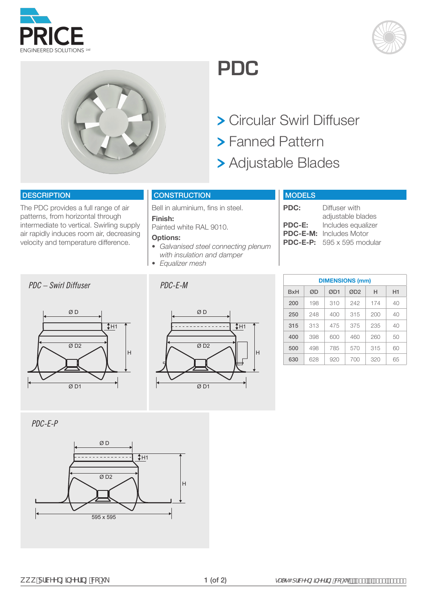595 x 595

 $\overline{\emptyset}$  D<sub>2</sub>

 $\overline{\phantom{a}}$  . The set of  $\overline{\phantom{a}}$ 

 $H1$ 

Ø D



The PDC provides a full range of air patterns, from horizontal through intermediate to vertical. Swirling supply air rapidly induces room air, decreasing velocity and temperature difference.

**DESCRIPTION** 

*PDC-E-P*



#### Bell in aluminium, fins in steel. **Finish:**

**CONSTRUCTION** 

Painted white RAL 9010.

## **Options:**

- *• Galvanised steel connecting plenum with insulation and damper*
- *• Equalizer mesh*



H

**PDC:** Diffuser with adjustable blades **PDC-E:** Includes equalizer **PDC-E-M:** Includes Motor **PDC-E-P:** 595 x 595 modular

| <b>DIMENSIONS (mm)</b> |     |     |                      |     |    |  |  |  |  |  |
|------------------------|-----|-----|----------------------|-----|----|--|--|--|--|--|
| <b>B</b> xH            | ØD  | ØD1 | ØD <sub>2</sub><br>н |     | H1 |  |  |  |  |  |
| 200                    | 198 | 310 | 242                  | 174 | 40 |  |  |  |  |  |
| 250                    | 248 | 400 | 315                  | 200 | 40 |  |  |  |  |  |
| 315                    | 313 | 475 | 375                  | 235 | 40 |  |  |  |  |  |
| 400                    | 398 | 600 | 460                  | 260 | 50 |  |  |  |  |  |
| 500                    | 498 | 785 | 570                  | 315 | 60 |  |  |  |  |  |
| 630                    | 628 | 920 | 700                  | 320 | 65 |  |  |  |  |  |



 Circular Swirl Diffuser Fanned Pattern

Adjustable Blades

**MODELS** 

**PDC**







*PDC – Swirl Diffuser PDC-E-M*



Ø D

 $\overline{\varnothing}$  D1

H